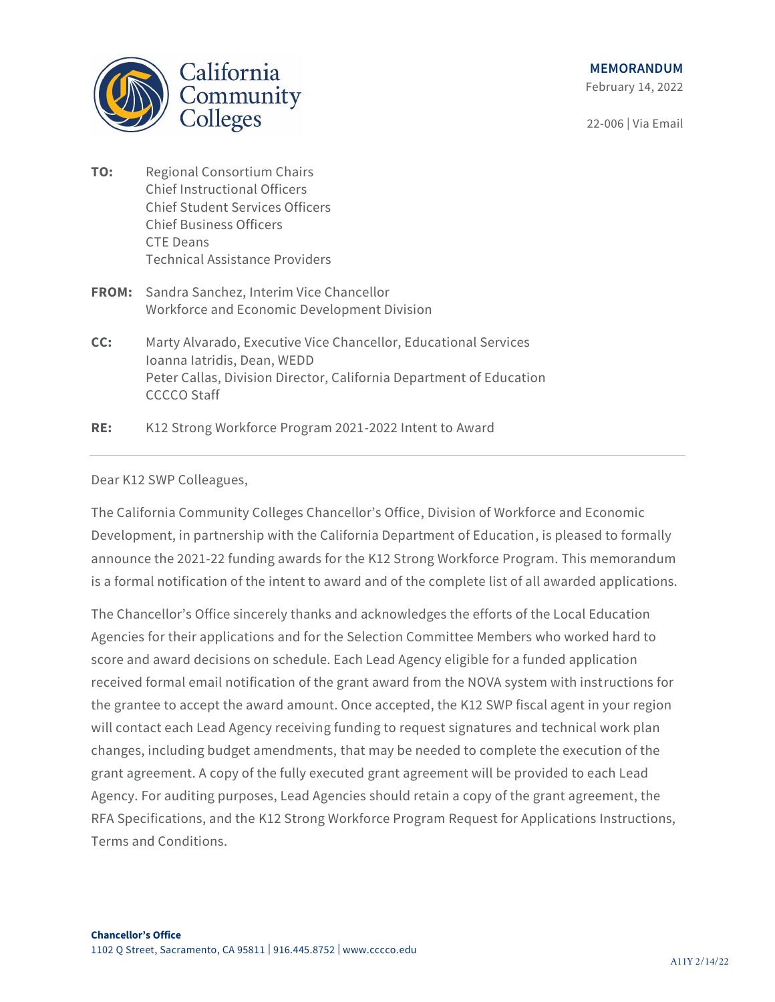

# **MEMORANDUM**

February 14, 2022

22-006 | Via Email

- **TO:** Regional Consortium Chairs Chief Instructional Officers Chief Student Services Officers Chief Business Officers CTE Deans Technical Assistance Providers
- **FROM:** Sandra Sanchez, Interim Vice Chancellor Workforce and Economic Development Division
- **CC:** Marty Alvarado, Executive Vice Chancellor, Educational Services Ioanna Iatridis, Dean, WEDD Peter Callas, Division Director, California Department of Education CCCCO Staff

**RE:** K12 Strong Workforce Program 2021-2022 Intent to Award

## Dear K12 SWP Colleagues,

The California Community Colleges Chancellor's Office, Division of Workforce and Economic Development, in partnership with the California Department of Education, is pleased to formally announce the 2021-22 funding awards for the K12 Strong Workforce Program. This memorandum is a formal notification of the intent to award and of the complete list of all awarded applications.

The Chancellor's Office sincerely thanks and acknowledges the efforts of the Local Education Agencies for their applications and for the Selection Committee Members who worked hard to score and award decisions on schedule. Each Lead Agency eligible for a funded application received formal email notification of the grant award from the NOVA system with instructions for the grantee to accept the award amount. Once accepted, the K12 SWP fiscal agent in your region will contact each Lead Agency receiving funding to request signatures and technical work plan changes, including budget amendments, that may be needed to complete the execution of the grant agreement. A copy of the fully executed grant agreement will be provided to each Lead Agency. For auditing purposes, Lead Agencies should retain a copy of the grant agreement, the RFA Specifications, and the K12 Strong Workforce Program Request for Applications Instructions, Terms and Conditions.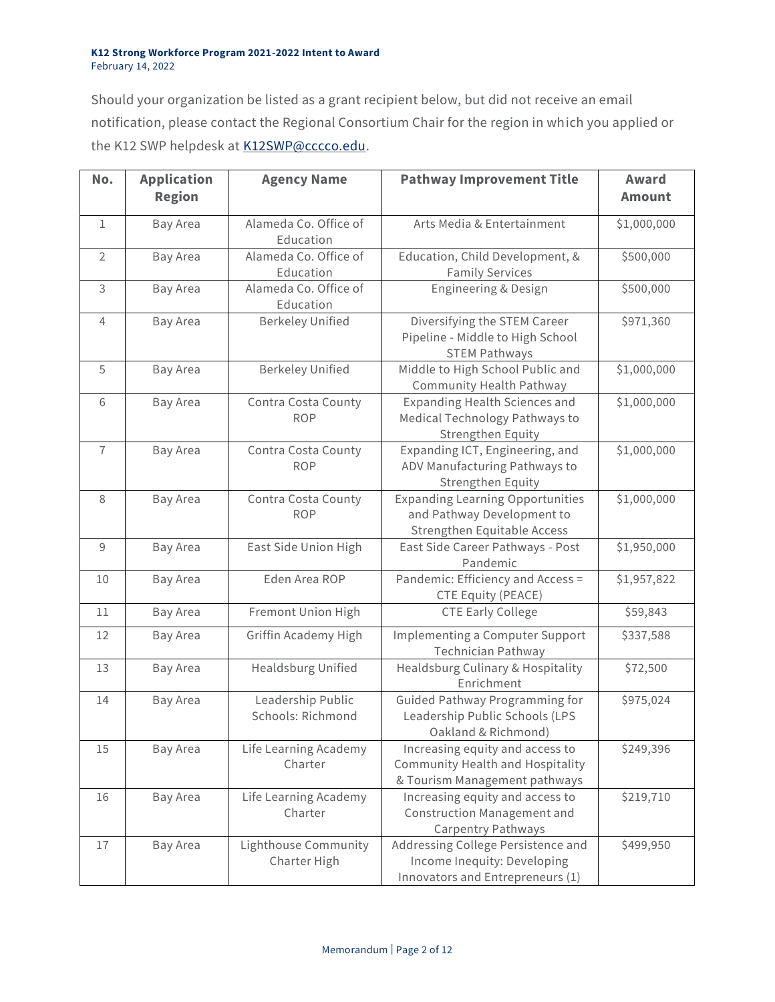Should your organization be listed as a grant recipient below, but did not receive an email notification, please contact the Regional Consortium Chair for the region in which you applied or the K12 SWP helpdesk at [K12SWP@cccco.edu.](mailto:K12SWP@cccco.edu)

| No.            | <b>Application</b><br><b>Region</b> | <b>Agency Name</b>                     | <b>Pathway Improvement Title</b>                                                                      | Award<br><b>Amount</b> |
|----------------|-------------------------------------|----------------------------------------|-------------------------------------------------------------------------------------------------------|------------------------|
| $\mathbf{1}$   | Bay Area                            | Alameda Co. Office of<br>Education     | Arts Media & Entertainment                                                                            | \$1,000,000            |
| $\overline{2}$ | Bay Area                            | Alameda Co. Office of<br>Education     | Education, Child Development, &<br><b>Family Services</b>                                             | \$500,000              |
| 3              | Bay Area                            | Alameda Co. Office of<br>Education     | Engineering & Design                                                                                  | \$500,000              |
| 4              | Bay Area                            | <b>Berkeley Unified</b>                | Diversifying the STEM Career<br>Pipeline - Middle to High School<br><b>STEM Pathways</b>              | \$971,360              |
| 5              | Bay Area                            | <b>Berkeley Unified</b>                | Middle to High School Public and<br><b>Community Health Pathway</b>                                   | \$1,000,000            |
| 6              | Bay Area                            | Contra Costa County<br><b>ROP</b>      | Expanding Health Sciences and<br>Medical Technology Pathways to<br>Strengthen Equity                  | \$1,000,000            |
| $\overline{1}$ | Bay Area                            | Contra Costa County<br><b>ROP</b>      | Expanding ICT, Engineering, and<br>ADV Manufacturing Pathways to<br>Strengthen Equity                 | \$1,000,000            |
| 8              | Bay Area                            | Contra Costa County<br><b>ROP</b>      | <b>Expanding Learning Opportunities</b><br>and Pathway Development to<br>Strengthen Equitable Access  | \$1,000,000            |
| 9              | Bay Area                            | East Side Union High                   | East Side Career Pathways - Post<br>Pandemic                                                          | \$1,950,000            |
| 10             | Bay Area                            | Eden Area ROP                          | Pandemic: Efficiency and Access =<br><b>CTE Equity (PEACE)</b>                                        | \$1,957,822            |
| 11             | Bay Area                            | Fremont Union High                     | <b>CTE Early College</b>                                                                              | \$59,843               |
| 12             | Bay Area                            | Griffin Academy High                   | Implementing a Computer Support<br><b>Technician Pathway</b>                                          | \$337,588              |
| 13             | Bay Area                            | <b>Healdsburg Unified</b>              | Healdsburg Culinary & Hospitality<br>Enrichment                                                       | \$72,500               |
| 14             | Bay Area                            | Leadership Public<br>Schools: Richmond | Guided Pathway Programming for<br>Leadership Public Schools (LPS<br>Oakland & Richmond)               | \$975,024              |
| 15             | Bay Area                            | Life Learning Academy<br>Charter       | Increasing equity and access to<br>Community Health and Hospitality<br>& Tourism Management pathways  | \$249,396              |
| 16             | Bay Area                            | Life Learning Academy<br>Charter       | Increasing equity and access to<br><b>Construction Management and</b><br>Carpentry Pathways           | \$219,710              |
| 17             | Bay Area                            | Lighthouse Community<br>Charter High   | Addressing College Persistence and<br>Income Inequity: Developing<br>Innovators and Entrepreneurs (1) | \$499,950              |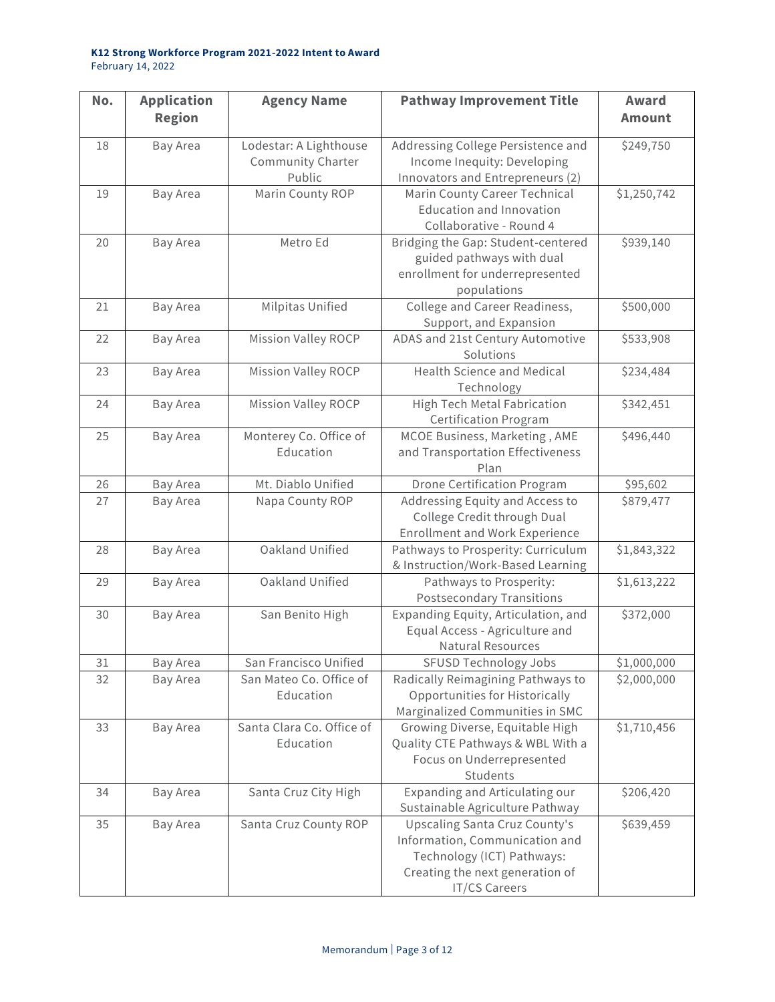| No. | <b>Application</b><br><b>Region</b> | <b>Agency Name</b>                                    | <b>Pathway Improvement Title</b>                                                                                                                         | Award<br><b>Amount</b> |
|-----|-------------------------------------|-------------------------------------------------------|----------------------------------------------------------------------------------------------------------------------------------------------------------|------------------------|
| 18  | Bay Area                            | Lodestar: A Lighthouse<br>Community Charter<br>Public | Addressing College Persistence and<br>Income Inequity: Developing<br>Innovators and Entrepreneurs (2)                                                    | \$249,750              |
| 19  | <b>Bay Area</b>                     | Marin County ROP                                      | Marin County Career Technical<br><b>Education and Innovation</b><br>Collaborative - Round 4                                                              | \$1,250,742            |
| 20  | Bay Area                            | Metro Ed                                              | Bridging the Gap: Student-centered<br>guided pathways with dual<br>enrollment for underrepresented<br>populations                                        | \$939,140              |
| 21  | Bay Area                            | Milpitas Unified                                      | College and Career Readiness,<br>Support, and Expansion                                                                                                  | \$500,000              |
| 22  | Bay Area                            | Mission Valley ROCP                                   | ADAS and 21st Century Automotive<br>Solutions                                                                                                            | \$533,908              |
| 23  | Bay Area                            | <b>Mission Valley ROCP</b>                            | <b>Health Science and Medical</b><br>Technology                                                                                                          | \$234,484              |
| 24  | Bay Area                            | Mission Valley ROCP                                   | High Tech Metal Fabrication<br><b>Certification Program</b>                                                                                              | \$342,451              |
| 25  | Bay Area                            | Monterey Co. Office of<br>Education                   | MCOE Business, Marketing, AME<br>and Transportation Effectiveness<br>Plan                                                                                | \$496,440              |
| 26  | Bay Area                            | Mt. Diablo Unified                                    | <b>Drone Certification Program</b>                                                                                                                       | \$95,602               |
| 27  | Bay Area                            | Napa County ROP                                       | Addressing Equity and Access to<br>College Credit through Dual<br><b>Enrollment and Work Experience</b>                                                  | \$879,477              |
| 28  | Bay Area                            | Oakland Unified                                       | Pathways to Prosperity: Curriculum<br>& Instruction/Work-Based Learning                                                                                  | \$1,843,322            |
| 29  | Bay Area                            | Oakland Unified                                       | Pathways to Prosperity:<br><b>Postsecondary Transitions</b>                                                                                              | \$1,613,222            |
| 30  | Bay Area                            | San Benito High                                       | Expanding Equity, Articulation, and<br>Equal Access - Agriculture and<br>Natural Resources                                                               | \$372,000              |
| 31  | Bay Area                            | San Francisco Unified                                 | <b>SFUSD Technology Jobs</b>                                                                                                                             | \$1,000,000            |
| 32  | Bay Area                            | San Mateo Co. Office of<br>Education                  | Radically Reimagining Pathways to<br>Opportunities for Historically<br>Marginalized Communities in SMC                                                   | \$2,000,000            |
| 33  | Bay Area                            | Santa Clara Co. Office of<br>Education                | Growing Diverse, Equitable High<br>Quality CTE Pathways & WBL With a<br>Focus on Underrepresented<br>Students                                            | \$1,710,456            |
| 34  | Bay Area                            | Santa Cruz City High                                  | Expanding and Articulating our<br>Sustainable Agriculture Pathway                                                                                        | \$206,420              |
| 35  | Bay Area                            | Santa Cruz County ROP                                 | <b>Upscaling Santa Cruz County's</b><br>Information, Communication and<br>Technology (ICT) Pathways:<br>Creating the next generation of<br>IT/CS Careers | \$639,459              |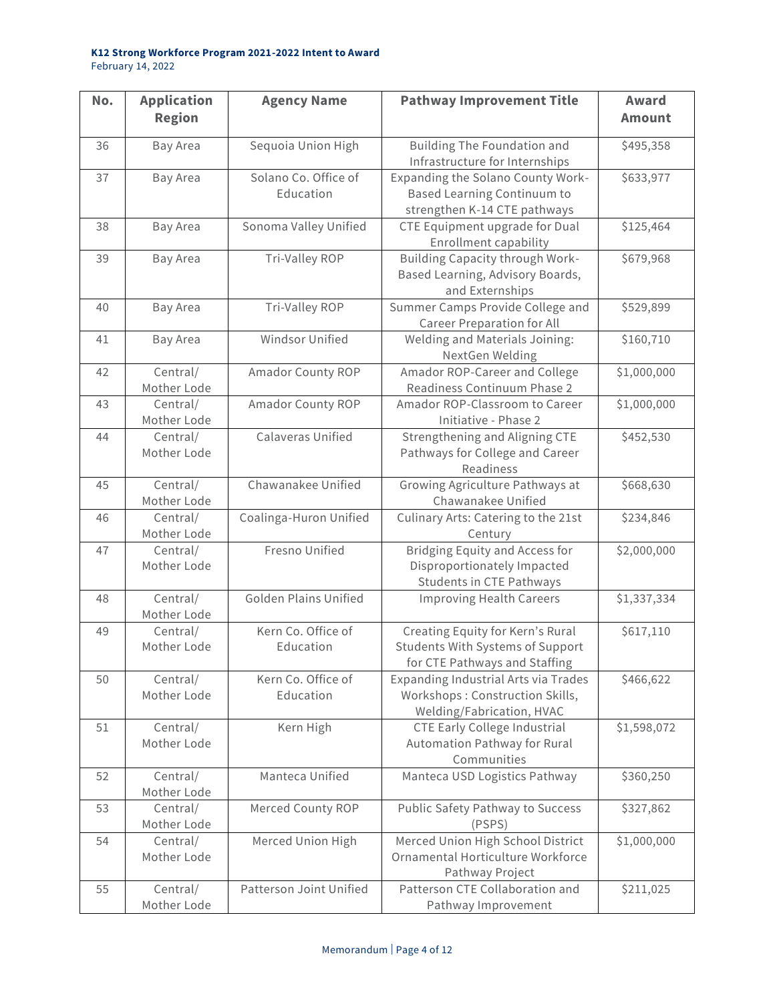| No. | <b>Application</b><br><b>Region</b> | <b>Agency Name</b>                | <b>Pathway Improvement Title</b>                                                                             | Award<br><b>Amount</b> |
|-----|-------------------------------------|-----------------------------------|--------------------------------------------------------------------------------------------------------------|------------------------|
| 36  | Bay Area                            | Sequoia Union High                | Building The Foundation and<br>Infrastructure for Internships                                                | \$495,358              |
| 37  | Bay Area                            | Solano Co. Office of<br>Education | Expanding the Solano County Work-<br><b>Based Learning Continuum to</b><br>strengthen K-14 CTE pathways      | \$633,977              |
| 38  | Bay Area                            | Sonoma Valley Unified             | CTE Equipment upgrade for Dual<br><b>Enrollment capability</b>                                               | \$125,464              |
| 39  | Bay Area                            | Tri-Valley ROP                    | Building Capacity through Work-<br>Based Learning, Advisory Boards,<br>and Externships                       | \$679,968              |
| 40  | Bay Area                            | Tri-Valley ROP                    | Summer Camps Provide College and<br><b>Career Preparation for All</b>                                        | \$529,899              |
| 41  | Bay Area                            | Windsor Unified                   | Welding and Materials Joining:<br>NextGen Welding                                                            | \$160,710              |
| 42  | Central/<br>Mother Lode             | Amador County ROP                 | Amador ROP-Career and College<br>Readiness Continuum Phase 2                                                 | \$1,000,000            |
| 43  | Central/<br>Mother Lode             | Amador County ROP                 | Amador ROP-Classroom to Career<br>Initiative - Phase 2                                                       | \$1,000,000            |
| 44  | Central/<br>Mother Lode             | Calaveras Unified                 | Strengthening and Aligning CTE<br>Pathways for College and Career<br>Readiness                               | \$452,530              |
| 45  | Central/<br>Mother Lode             | Chawanakee Unified                | Growing Agriculture Pathways at<br>Chawanakee Unified                                                        | \$668,630              |
| 46  | Central/<br>Mother Lode             | Coalinga-Huron Unified            | Culinary Arts: Catering to the 21st<br>Century                                                               | \$234,846              |
| 47  | Central/<br>Mother Lode             | Fresno Unified                    | Bridging Equity and Access for<br>Disproportionately Impacted<br><b>Students in CTE Pathways</b>             | \$2,000,000            |
| 48  | Central/<br>Mother Lode             | <b>Golden Plains Unified</b>      | <b>Improving Health Careers</b>                                                                              | \$1,337,334            |
| 49  | Central/<br>Mother Lode             | Kern Co. Office of<br>Education   | Creating Equity for Kern's Rural<br><b>Students With Systems of Support</b><br>for CTE Pathways and Staffing | \$617,110              |
| 50  | Central/<br>Mother Lode             | Kern Co. Office of<br>Education   | Expanding Industrial Arts via Trades<br>Workshops: Construction Skills,<br>Welding/Fabrication, HVAC         | \$466,622              |
| 51  | Central/<br>Mother Lode             | Kern High                         | <b>CTE Early College Industrial</b><br>Automation Pathway for Rural<br>Communities                           | \$1,598,072            |
| 52  | Central/<br>Mother Lode             | Manteca Unified                   | Manteca USD Logistics Pathway                                                                                | \$360,250              |
| 53  | Central/<br>Mother Lode             | Merced County ROP                 | Public Safety Pathway to Success<br>(PSPS)                                                                   | \$327,862              |
| 54  | Central/<br>Mother Lode             | Merced Union High                 | Merced Union High School District<br>Ornamental Horticulture Workforce<br>Pathway Project                    | \$1,000,000            |
| 55  | Central/<br>Mother Lode             | Patterson Joint Unified           | Patterson CTE Collaboration and<br>Pathway Improvement                                                       | \$211,025              |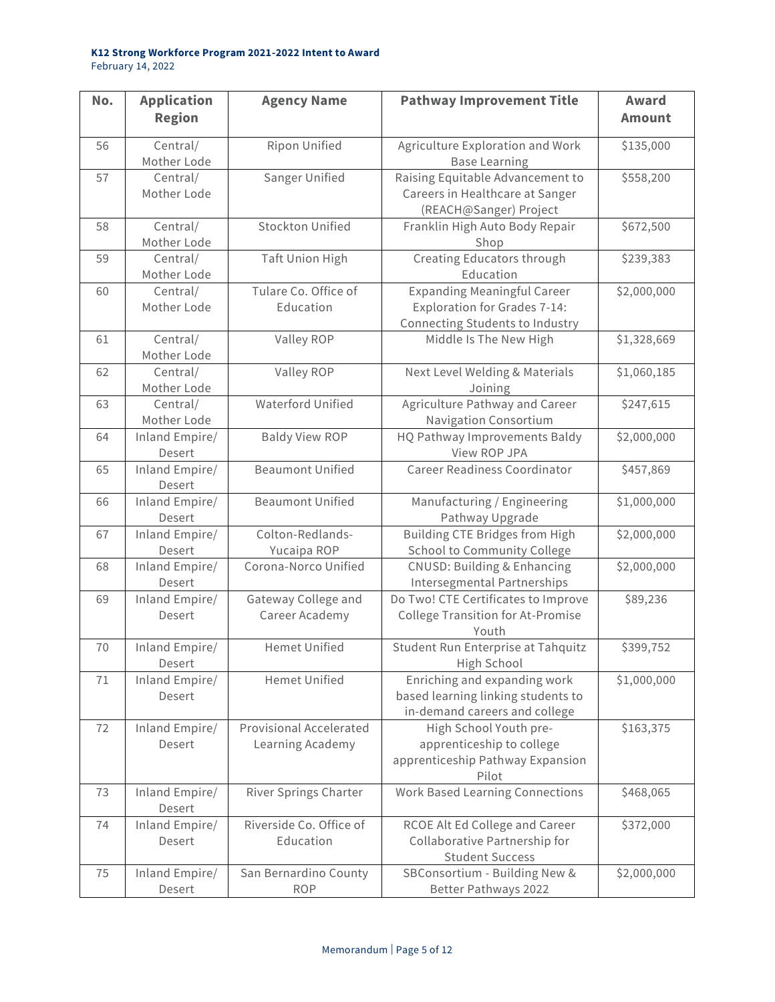| No. | <b>Application</b><br><b>Region</b> | <b>Agency Name</b>                          | <b>Pathway Improvement Title</b>                                                                      | Award<br><b>Amount</b> |
|-----|-------------------------------------|---------------------------------------------|-------------------------------------------------------------------------------------------------------|------------------------|
| 56  | Central/<br>Mother Lode             | Ripon Unified                               | Agriculture Exploration and Work<br><b>Base Learning</b>                                              | \$135,000              |
| 57  | Central/<br>Mother Lode             | Sanger Unified                              | Raising Equitable Advancement to<br>Careers in Healthcare at Sanger<br>(REACH@Sanger) Project         | \$558,200              |
| 58  | Central/<br>Mother Lode             | <b>Stockton Unified</b>                     | Franklin High Auto Body Repair<br>Shop                                                                | \$672,500              |
| 59  | Central/<br>Mother Lode             | Taft Union High                             | Creating Educators through<br>Education                                                               | \$239,383              |
| 60  | Central/<br>Mother Lode             | Tulare Co. Office of<br>Education           | <b>Expanding Meaningful Career</b><br>Exploration for Grades 7-14:<br>Connecting Students to Industry | \$2,000,000            |
| 61  | Central/<br>Mother Lode             | Valley ROP                                  | Middle Is The New High                                                                                | \$1,328,669            |
| 62  | Central/<br>Mother Lode             | Valley ROP                                  | Next Level Welding & Materials<br>Joining                                                             | \$1,060,185            |
| 63  | Central/<br>Mother Lode             | <b>Waterford Unified</b>                    | Agriculture Pathway and Career<br><b>Navigation Consortium</b>                                        | \$247,615              |
| 64  | Inland Empire/<br>Desert            | <b>Baldy View ROP</b>                       | HQ Pathway Improvements Baldy<br>View ROP JPA                                                         | \$2,000,000            |
| 65  | Inland Empire/<br>Desert            | <b>Beaumont Unified</b>                     | <b>Career Readiness Coordinator</b>                                                                   | \$457,869              |
| 66  | Inland Empire/<br>Desert            | <b>Beaumont Unified</b>                     | Manufacturing / Engineering<br>Pathway Upgrade                                                        | \$1,000,000            |
| 67  | Inland Empire/<br>Desert            | Colton-Redlands-<br>Yucaipa ROP             | Building CTE Bridges from High<br>School to Community College                                         | \$2,000,000            |
| 68  | Inland Empire/<br>Desert            | Corona-Norco Unified                        | <b>CNUSD: Building &amp; Enhancing</b><br>Intersegmental Partnerships                                 | \$2,000,000            |
| 69  | Inland Empire/<br>Desert            | Gateway College and<br>Career Academy       | Do Two! CTE Certificates to Improve<br><b>College Transition for At-Promise</b><br>Youth              | \$89,236               |
| 70  | Inland Empire/<br>Desert            | <b>Hemet Unified</b>                        | Student Run Enterprise at Tahquitz<br>High School                                                     | \$399,752              |
| 71  | Inland Empire/<br>Desert            | <b>Hemet Unified</b>                        | Enriching and expanding work<br>based learning linking students to<br>in-demand careers and college   | \$1,000,000            |
| 72  | Inland Empire/<br>Desert            | Provisional Accelerated<br>Learning Academy | High School Youth pre-<br>apprenticeship to college<br>apprenticeship Pathway Expansion<br>Pilot      | \$163,375              |
| 73  | Inland Empire/<br>Desert            | <b>River Springs Charter</b>                | <b>Work Based Learning Connections</b>                                                                | \$468,065              |
| 74  | Inland Empire/<br>Desert            | Riverside Co. Office of<br>Education        | RCOE Alt Ed College and Career<br>Collaborative Partnership for<br><b>Student Success</b>             | \$372,000              |
| 75  | Inland Empire/<br>Desert            | San Bernardino County<br><b>ROP</b>         | SBConsortium - Building New &<br>Better Pathways 2022                                                 | \$2,000,000            |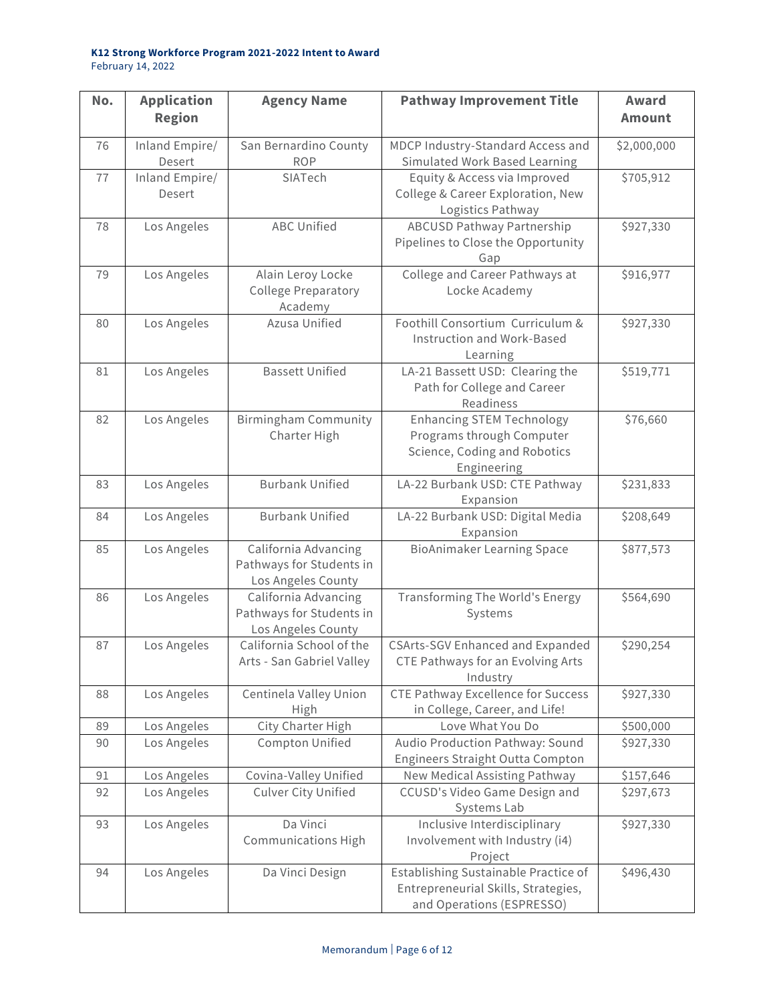| No. | <b>Application</b><br><b>Region</b> | <b>Agency Name</b>                                                     | <b>Pathway Improvement Title</b>                                                                             | Award<br><b>Amount</b> |
|-----|-------------------------------------|------------------------------------------------------------------------|--------------------------------------------------------------------------------------------------------------|------------------------|
| 76  | Inland Empire/<br>Desert            | San Bernardino County<br><b>ROP</b>                                    | MDCP Industry-Standard Access and<br>Simulated Work Based Learning                                           | \$2,000,000            |
| 77  | Inland Empire/<br>Desert            | SIATech                                                                | Equity & Access via Improved<br>College & Career Exploration, New<br>Logistics Pathway                       | \$705,912              |
| 78  | Los Angeles                         | <b>ABC Unified</b>                                                     | <b>ABCUSD Pathway Partnership</b><br>Pipelines to Close the Opportunity<br>Gap                               | \$927,330              |
| 79  | Los Angeles                         | Alain Leroy Locke<br><b>College Preparatory</b><br>Academy             | College and Career Pathways at<br>Locke Academy                                                              | \$916,977              |
| 80  | Los Angeles                         | Azusa Unified                                                          | Foothill Consortium Curriculum &<br>Instruction and Work-Based<br>Learning                                   | \$927,330              |
| 81  | Los Angeles                         | <b>Bassett Unified</b>                                                 | LA-21 Bassett USD: Clearing the<br>Path for College and Career<br>Readiness                                  | \$519,771              |
| 82  | Los Angeles                         | <b>Birmingham Community</b><br>Charter High                            | <b>Enhancing STEM Technology</b><br>Programs through Computer<br>Science, Coding and Robotics<br>Engineering | \$76,660               |
| 83  | Los Angeles                         | <b>Burbank Unified</b>                                                 | LA-22 Burbank USD: CTE Pathway<br>Expansion                                                                  | \$231,833              |
| 84  | Los Angeles                         | <b>Burbank Unified</b>                                                 | LA-22 Burbank USD: Digital Media<br>Expansion                                                                | \$208,649              |
| 85  | Los Angeles                         | California Advancing<br>Pathways for Students in<br>Los Angeles County | <b>BioAnimaker Learning Space</b>                                                                            | \$877,573              |
| 86  | Los Angeles                         | California Advancing<br>Pathways for Students in<br>Los Angeles County | <b>Transforming The World's Energy</b><br>Systems                                                            | \$564,690              |
| 87  | Los Angeles                         | California School of the<br>Arts - San Gabriel Valley                  | <b>CSArts-SGV Enhanced and Expanded</b><br>CTE Pathways for an Evolving Arts<br>Industry                     | \$290,254              |
| 88  | Los Angeles                         | Centinela Valley Union<br>High                                         | <b>CTE Pathway Excellence for Success</b><br>in College, Career, and Life!                                   | \$927,330              |
| 89  | Los Angeles                         | City Charter High                                                      | Love What You Do                                                                                             | \$500,000              |
| 90  | Los Angeles                         | Compton Unified                                                        | Audio Production Pathway: Sound<br>Engineers Straight Outta Compton                                          | \$927,330              |
| 91  | Los Angeles                         | Covina-Valley Unified                                                  | New Medical Assisting Pathway                                                                                | \$157,646              |
| 92  | Los Angeles                         | <b>Culver City Unified</b>                                             | CCUSD's Video Game Design and<br>Systems Lab                                                                 | \$297,673              |
| 93  | Los Angeles                         | Da Vinci<br><b>Communications High</b>                                 | Inclusive Interdisciplinary<br>Involvement with Industry (i4)<br>Project                                     | \$927,330              |
| 94  | Los Angeles                         | Da Vinci Design                                                        | Establishing Sustainable Practice of<br>Entrepreneurial Skills, Strategies,<br>and Operations (ESPRESSO)     | \$496,430              |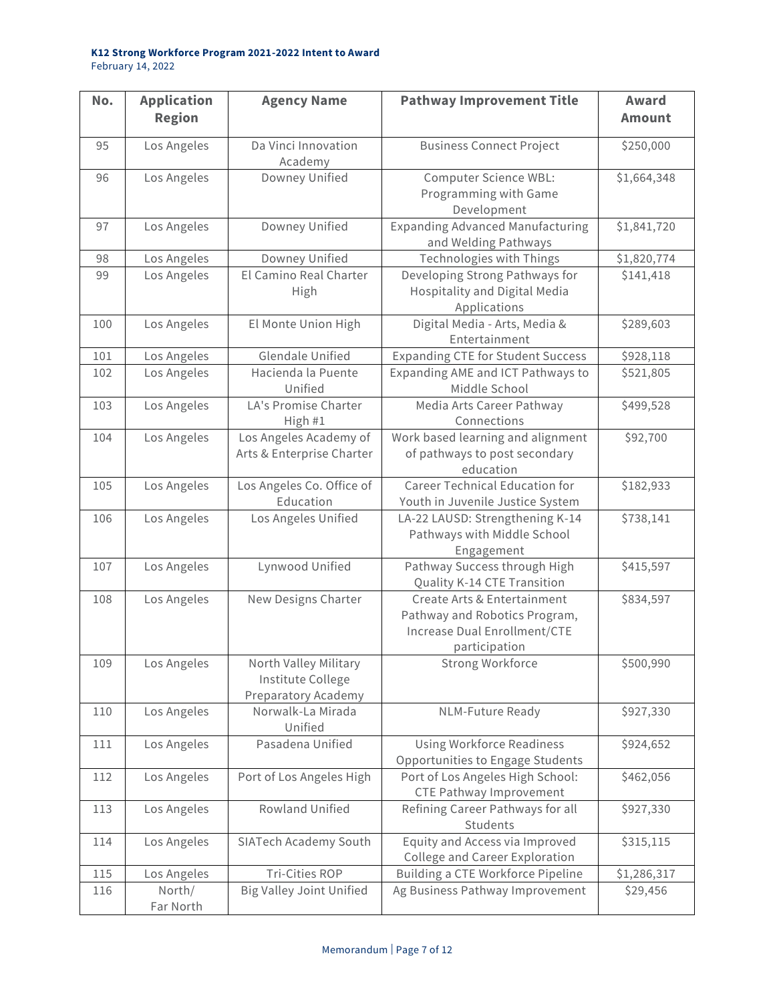| No. | <b>Application</b><br><b>Region</b> | <b>Agency Name</b>                                                | <b>Pathway Improvement Title</b>                                                                              | Award<br><b>Amount</b> |
|-----|-------------------------------------|-------------------------------------------------------------------|---------------------------------------------------------------------------------------------------------------|------------------------|
| 95  | Los Angeles                         | Da Vinci Innovation<br>Academy                                    | <b>Business Connect Project</b>                                                                               | \$250,000              |
| 96  | Los Angeles                         | Downey Unified                                                    | Computer Science WBL:<br>Programming with Game<br>Development                                                 | \$1,664,348            |
| 97  | Los Angeles                         | Downey Unified                                                    | <b>Expanding Advanced Manufacturing</b><br>and Welding Pathways                                               | \$1,841,720            |
| 98  | Los Angeles                         | Downey Unified                                                    | Technologies with Things                                                                                      | \$1,820,774            |
| 99  | Los Angeles                         | El Camino Real Charter<br>High                                    | Developing Strong Pathways for<br>Hospitality and Digital Media<br>Applications                               | \$141,418              |
| 100 | Los Angeles                         | El Monte Union High                                               | Digital Media - Arts, Media &<br>Entertainment                                                                | \$289,603              |
| 101 | Los Angeles                         | <b>Glendale Unified</b>                                           | <b>Expanding CTE for Student Success</b>                                                                      | \$928,118              |
| 102 | Los Angeles                         | Hacienda la Puente<br>Unified                                     | Expanding AME and ICT Pathways to<br>Middle School                                                            | \$521,805              |
| 103 | Los Angeles                         | LA's Promise Charter<br>High #1                                   | Media Arts Career Pathway<br>Connections                                                                      | \$499,528              |
| 104 | Los Angeles                         | Los Angeles Academy of<br>Arts & Enterprise Charter               | Work based learning and alignment<br>of pathways to post secondary<br>education                               | \$92,700               |
| 105 | Los Angeles                         | Los Angeles Co. Office of<br>Education                            | <b>Career Technical Education for</b><br>Youth in Juvenile Justice System                                     | \$182,933              |
| 106 | Los Angeles                         | Los Angeles Unified                                               | LA-22 LAUSD: Strengthening K-14<br>Pathways with Middle School<br>Engagement                                  | \$738,141              |
| 107 | Los Angeles                         | Lynwood Unified                                                   | Pathway Success through High<br>Quality K-14 CTE Transition                                                   | \$415,597              |
| 108 | Los Angeles                         | New Designs Charter                                               | Create Arts & Entertainment<br>Pathway and Robotics Program,<br>Increase Dual Enrollment/CTE<br>participation | \$834,597              |
| 109 | Los Angeles                         | North Valley Military<br>Institute College<br>Preparatory Academy | Strong Workforce                                                                                              | \$500,990              |
| 110 | Los Angeles                         | Norwalk-La Mirada<br>Unified                                      | NLM-Future Ready                                                                                              | \$927,330              |
| 111 | Los Angeles                         | Pasadena Unified                                                  | <b>Using Workforce Readiness</b><br>Opportunities to Engage Students                                          | \$924,652              |
| 112 | Los Angeles                         | Port of Los Angeles High                                          | Port of Los Angeles High School:<br><b>CTE Pathway Improvement</b>                                            | \$462,056              |
| 113 | Los Angeles                         | Rowland Unified                                                   | Refining Career Pathways for all<br>Students                                                                  | \$927,330              |
| 114 | Los Angeles                         | SIATech Academy South                                             | Equity and Access via Improved<br>College and Career Exploration                                              | \$315,115              |
| 115 | Los Angeles                         | <b>Tri-Cities ROP</b>                                             | Building a CTE Workforce Pipeline                                                                             | \$1,286,317            |
| 116 | North/<br>Far North                 | <b>Big Valley Joint Unified</b>                                   | Ag Business Pathway Improvement                                                                               | \$29,456               |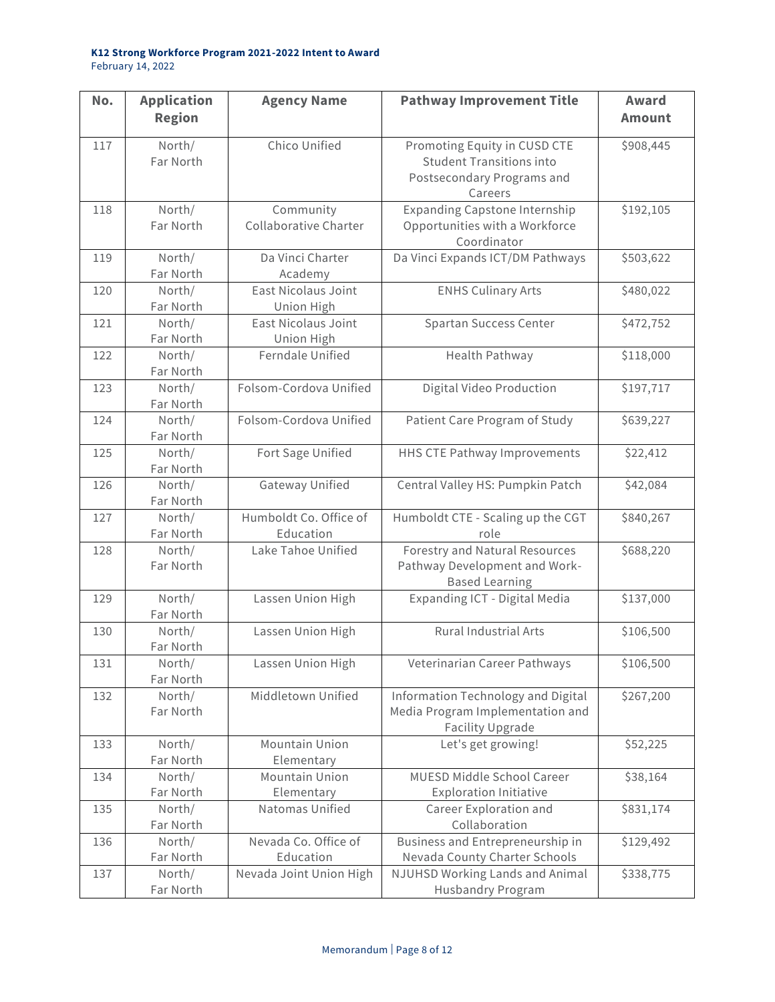| No. | <b>Application</b><br><b>Region</b> | <b>Agency Name</b>                  | <b>Pathway Improvement Title</b>                                                                         | Award<br><b>Amount</b> |
|-----|-------------------------------------|-------------------------------------|----------------------------------------------------------------------------------------------------------|------------------------|
| 117 | North/<br>Far North                 | Chico Unified                       | Promoting Equity in CUSD CTE<br><b>Student Transitions into</b><br>Postsecondary Programs and<br>Careers | \$908,445              |
| 118 | North/<br>Far North                 | Community<br>Collaborative Charter  | <b>Expanding Capstone Internship</b><br>Opportunities with a Workforce<br>Coordinator                    | \$192,105              |
| 119 | North/<br>Far North                 | Da Vinci Charter<br>Academy         | Da Vinci Expands ICT/DM Pathways                                                                         | \$503,622              |
| 120 | North/<br>Far North                 | East Nicolaus Joint<br>Union High   | <b>ENHS Culinary Arts</b>                                                                                | \$480,022              |
| 121 | North/<br>Far North                 | East Nicolaus Joint<br>Union High   | Spartan Success Center                                                                                   | \$472,752              |
| 122 | North/<br>Far North                 | Ferndale Unified                    | Health Pathway                                                                                           | \$118,000              |
| 123 | North/<br>Far North                 | Folsom-Cordova Unified              | Digital Video Production                                                                                 | \$197,717              |
| 124 | North/<br>Far North                 | Folsom-Cordova Unified              | Patient Care Program of Study                                                                            | \$639,227              |
| 125 | North/<br>Far North                 | Fort Sage Unified                   | HHS CTE Pathway Improvements                                                                             | \$22,412               |
| 126 | North/<br>Far North                 | Gateway Unified                     | Central Valley HS: Pumpkin Patch                                                                         | \$42,084               |
| 127 | North/<br>Far North                 | Humboldt Co. Office of<br>Education | Humboldt CTE - Scaling up the CGT<br>role                                                                | \$840,267              |
| 128 | North/<br>Far North                 | Lake Tahoe Unified                  | Forestry and Natural Resources<br>Pathway Development and Work-<br><b>Based Learning</b>                 | \$688,220              |
| 129 | North/<br>Far North                 | Lassen Union High                   | Expanding ICT - Digital Media                                                                            | \$137,000              |
| 130 | North/<br>Far North                 | Lassen Union High                   | Rural Industrial Arts                                                                                    | \$106,500              |
| 131 | North/<br>Far North                 | Lassen Union High                   | Veterinarian Career Pathways                                                                             | \$106,500              |
| 132 | North/<br>Far North                 | Middletown Unified                  | Information Technology and Digital<br>Media Program Implementation and<br>Facility Upgrade               | \$267,200              |
| 133 | North/<br>Far North                 | Mountain Union<br>Elementary        | Let's get growing!                                                                                       | \$52,225               |
| 134 | North/<br>Far North                 | Mountain Union<br>Elementary        | MUESD Middle School Career<br><b>Exploration Initiative</b>                                              | \$38,164               |
| 135 | North/<br>Far North                 | Natomas Unified                     | Career Exploration and<br>Collaboration                                                                  | \$831,174              |
| 136 | North/<br>Far North                 | Nevada Co. Office of<br>Education   | Business and Entrepreneurship in<br>Nevada County Charter Schools                                        | \$129,492              |
| 137 | North/<br>Far North                 | Nevada Joint Union High             | NJUHSD Working Lands and Animal<br>Husbandry Program                                                     | \$338,775              |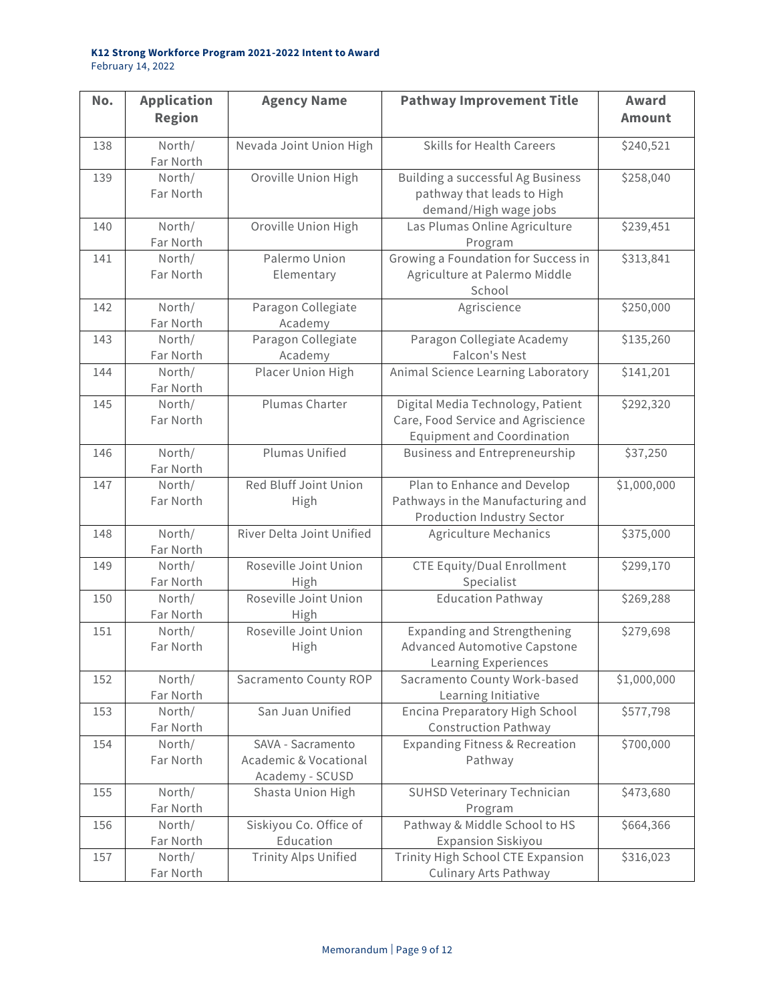| No. | <b>Application</b><br><b>Region</b> | <b>Agency Name</b>                         | <b>Pathway Improvement Title</b>                                 | <b>Award</b><br><b>Amount</b> |
|-----|-------------------------------------|--------------------------------------------|------------------------------------------------------------------|-------------------------------|
|     |                                     |                                            |                                                                  |                               |
| 138 | North/<br>Far North                 | Nevada Joint Union High                    | <b>Skills for Health Careers</b>                                 | \$240,521                     |
| 139 | North/                              | Oroville Union High                        | <b>Building a successful Ag Business</b>                         | \$258,040                     |
|     | Far North                           |                                            | pathway that leads to High                                       |                               |
|     |                                     |                                            | demand/High wage jobs                                            |                               |
| 140 | North/                              | Oroville Union High                        | Las Plumas Online Agriculture                                    | \$239,451                     |
|     | Far North                           |                                            | Program                                                          |                               |
| 141 | North/                              | Palermo Union                              | Growing a Foundation for Success in                              | \$313,841                     |
|     | Far North                           | Elementary                                 | Agriculture at Palermo Middle<br>School                          |                               |
| 142 | North/                              | Paragon Collegiate                         | Agriscience                                                      | \$250,000                     |
|     | Far North                           | Academy                                    |                                                                  |                               |
| 143 | North/                              | Paragon Collegiate                         | Paragon Collegiate Academy                                       | \$135,260                     |
|     | Far North                           | Academy                                    | Falcon's Nest                                                    |                               |
| 144 | North/                              | Placer Union High                          | Animal Science Learning Laboratory                               | \$141,201                     |
|     | Far North                           |                                            |                                                                  |                               |
| 145 | North/                              | Plumas Charter                             | Digital Media Technology, Patient                                | \$292,320                     |
|     | Far North                           |                                            | Care, Food Service and Agriscience                               |                               |
|     |                                     |                                            | <b>Equipment and Coordination</b>                                |                               |
| 146 | North/                              | <b>Plumas Unified</b>                      | <b>Business and Entrepreneurship</b>                             | \$37,250                      |
|     | Far North                           |                                            |                                                                  |                               |
| 147 | North/<br>Far North                 | Red Bluff Joint Union<br>High              | Plan to Enhance and Develop<br>Pathways in the Manufacturing and | \$1,000,000                   |
|     |                                     |                                            | <b>Production Industry Sector</b>                                |                               |
| 148 | North/                              | River Delta Joint Unified                  | <b>Agriculture Mechanics</b>                                     | \$375,000                     |
|     | Far North                           |                                            |                                                                  |                               |
| 149 | North/                              | Roseville Joint Union                      | <b>CTE Equity/Dual Enrollment</b>                                | \$299,170                     |
|     | Far North                           | High                                       | Specialist                                                       |                               |
| 150 | North/                              | Roseville Joint Union                      | <b>Education Pathway</b>                                         | \$269,288                     |
|     | Far North                           | High                                       |                                                                  |                               |
| 151 | North/                              | Roseville Joint Union                      | <b>Expanding and Strengthening</b>                               | \$279,698                     |
|     | Far North                           | High                                       | <b>Advanced Automotive Capstone</b>                              |                               |
|     |                                     |                                            | <b>Learning Experiences</b>                                      |                               |
| 152 | North/                              | Sacramento County ROP                      | Sacramento County Work-based                                     | \$1,000,000                   |
|     | Far North                           |                                            | Learning Initiative                                              |                               |
| 153 | North/                              | San Juan Unified                           | Encina Preparatory High School                                   | \$577,798                     |
|     | Far North                           |                                            | <b>Construction Pathway</b>                                      |                               |
| 154 | North/                              | SAVA - Sacramento<br>Academic & Vocational | <b>Expanding Fitness &amp; Recreation</b>                        | \$700,000                     |
|     | Far North                           |                                            | Pathway                                                          |                               |
| 155 | North/                              | Academy - SCUSD<br>Shasta Union High       | SUHSD Veterinary Technician                                      | \$473,680                     |
|     | Far North                           |                                            | Program                                                          |                               |
| 156 | North/                              | Siskiyou Co. Office of                     | Pathway & Middle School to HS                                    | \$664,366                     |
|     | Far North                           | Education                                  | <b>Expansion Siskiyou</b>                                        |                               |
| 157 | North/                              | Trinity Alps Unified                       | Trinity High School CTE Expansion                                | \$316,023                     |
|     | Far North                           |                                            | <b>Culinary Arts Pathway</b>                                     |                               |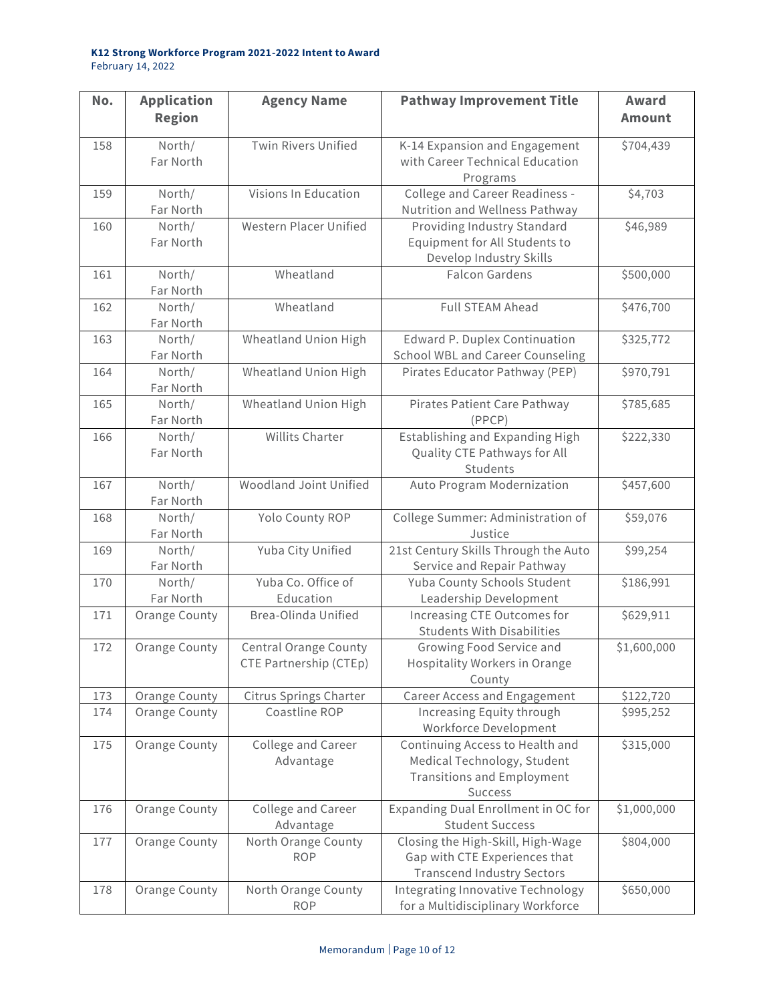| No. | <b>Application</b><br><b>Region</b> | <b>Agency Name</b>                                     | <b>Pathway Improvement Title</b>                                                                                      | Award<br><b>Amount</b> |
|-----|-------------------------------------|--------------------------------------------------------|-----------------------------------------------------------------------------------------------------------------------|------------------------|
| 158 | North/<br>Far North                 | <b>Twin Rivers Unified</b>                             | K-14 Expansion and Engagement<br>with Career Technical Education<br>Programs                                          | \$704,439              |
| 159 | North/<br>Far North                 | Visions In Education                                   | College and Career Readiness -<br>Nutrition and Wellness Pathway                                                      | \$4,703                |
| 160 | North/<br>Far North                 | Western Placer Unified                                 | Providing Industry Standard<br>Equipment for All Students to<br>Develop Industry Skills                               | \$46,989               |
| 161 | North/<br>Far North                 | Wheatland                                              | <b>Falcon Gardens</b>                                                                                                 | \$500,000              |
| 162 | North/<br>Far North                 | Wheatland                                              | <b>Full STEAM Ahead</b>                                                                                               | \$476,700              |
| 163 | North/<br>Far North                 | Wheatland Union High                                   | Edward P. Duplex Continuation<br><b>School WBL and Career Counseling</b>                                              | \$325,772              |
| 164 | North/<br>Far North                 | Wheatland Union High                                   | Pirates Educator Pathway (PEP)                                                                                        | \$970,791              |
| 165 | North/<br>Far North                 | Wheatland Union High                                   | Pirates Patient Care Pathway<br>(PPCP)                                                                                | \$785,685              |
| 166 | North/<br>Far North                 | <b>Willits Charter</b>                                 | Establishing and Expanding High<br>Quality CTE Pathways for All<br>Students                                           | \$222,330              |
| 167 | North/<br>Far North                 | Woodland Joint Unified                                 | Auto Program Modernization                                                                                            | \$457,600              |
| 168 | North/<br>Far North                 | Yolo County ROP                                        | College Summer: Administration of<br>Justice                                                                          | \$59,076               |
| 169 | North/<br>Far North                 | Yuba City Unified                                      | 21st Century Skills Through the Auto<br>Service and Repair Pathway                                                    | \$99,254               |
| 170 | North/<br>Far North                 | Yuba Co. Office of<br>Education                        | Yuba County Schools Student<br>Leadership Development                                                                 | \$186,991              |
| 171 | Orange County                       | Brea-Olinda Unified                                    | Increasing CTE Outcomes for<br><b>Students With Disabilities</b>                                                      | \$629,911              |
| 172 | <b>Orange County</b>                | <b>Central Orange County</b><br>CTE Partnership (CTEp) | Growing Food Service and<br>Hospitality Workers in Orange<br>County                                                   | \$1,600,000            |
| 173 | Orange County                       | <b>Citrus Springs Charter</b>                          | Career Access and Engagement                                                                                          | \$122,720              |
| 174 | <b>Orange County</b>                | Coastline ROP                                          | Increasing Equity through<br>Workforce Development                                                                    | \$995,252              |
| 175 | <b>Orange County</b>                | College and Career<br>Advantage                        | Continuing Access to Health and<br>Medical Technology, Student<br><b>Transitions and Employment</b><br><b>Success</b> | \$315,000              |
| 176 | <b>Orange County</b>                | College and Career<br>Advantage                        | Expanding Dual Enrollment in OC for<br><b>Student Success</b>                                                         | \$1,000,000            |
| 177 | Orange County                       | North Orange County<br><b>ROP</b>                      | Closing the High-Skill, High-Wage<br>Gap with CTE Experiences that<br><b>Transcend Industry Sectors</b>               | \$804,000              |
| 178 | Orange County                       | North Orange County<br><b>ROP</b>                      | Integrating Innovative Technology<br>for a Multidisciplinary Workforce                                                | \$650,000              |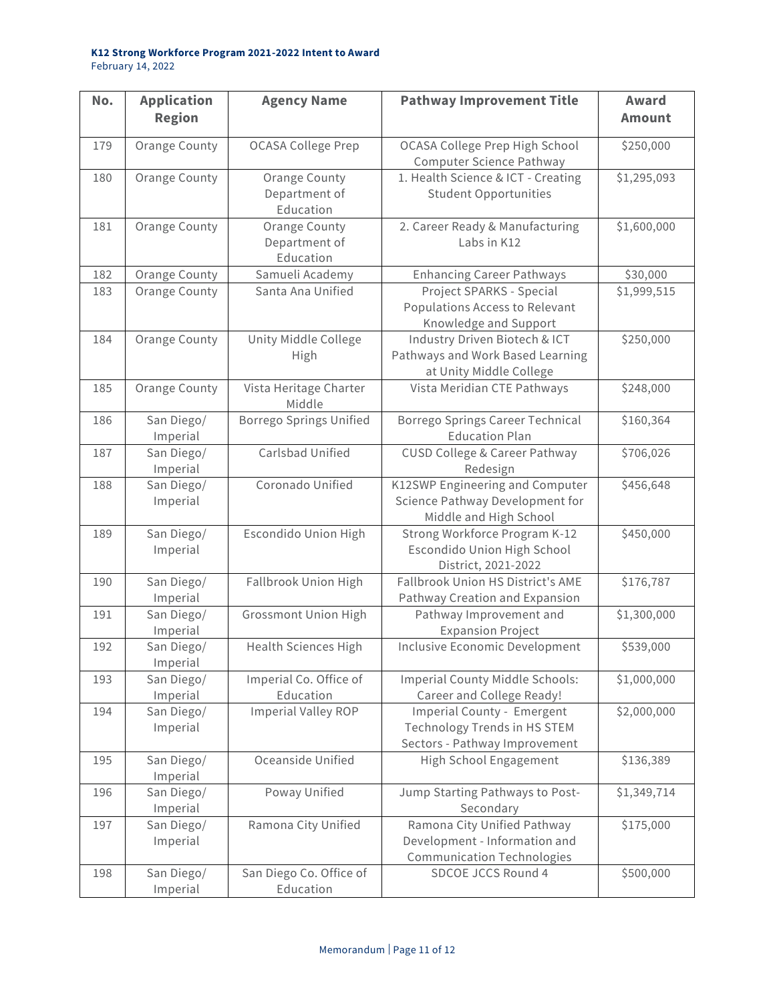| No. | <b>Application</b><br><b>Region</b> | <b>Agency Name</b>                          | <b>Pathway Improvement Title</b>                                                                  | Award<br><b>Amount</b> |
|-----|-------------------------------------|---------------------------------------------|---------------------------------------------------------------------------------------------------|------------------------|
| 179 | <b>Orange County</b>                | <b>OCASA College Prep</b>                   | OCASA College Prep High School<br>Computer Science Pathway                                        | \$250,000              |
| 180 | <b>Orange County</b>                | Orange County<br>Department of<br>Education | 1. Health Science & ICT - Creating<br><b>Student Opportunities</b>                                | \$1,295,093            |
| 181 | Orange County                       | Orange County<br>Department of<br>Education | 2. Career Ready & Manufacturing<br>Labs in K12                                                    | \$1,600,000            |
| 182 | Orange County                       | Samueli Academy                             | <b>Enhancing Career Pathways</b>                                                                  | \$30,000               |
| 183 | <b>Orange County</b>                | Santa Ana Unified                           | Project SPARKS - Special<br>Populations Access to Relevant<br>Knowledge and Support               | \$1,999,515            |
| 184 | <b>Orange County</b>                | Unity Middle College<br>High                | Industry Driven Biotech & ICT<br>Pathways and Work Based Learning<br>at Unity Middle College      | \$250,000              |
| 185 | <b>Orange County</b>                | Vista Heritage Charter<br>Middle            | Vista Meridian CTE Pathways                                                                       | \$248,000              |
| 186 | San Diego/<br>Imperial              | <b>Borrego Springs Unified</b>              | Borrego Springs Career Technical<br><b>Education Plan</b>                                         | \$160,364              |
| 187 | San Diego/<br>Imperial              | Carlsbad Unified                            | CUSD College & Career Pathway<br>Redesign                                                         | \$706,026              |
| 188 | San Diego/<br>Imperial              | Coronado Unified                            | K12SWP Engineering and Computer<br>Science Pathway Development for<br>Middle and High School      | \$456,648              |
| 189 | San Diego/<br>Imperial              | <b>Escondido Union High</b>                 | Strong Workforce Program K-12<br>Escondido Union High School<br>District, 2021-2022               | \$450,000              |
| 190 | San Diego/<br>Imperial              | Fallbrook Union High                        | Fallbrook Union HS District's AME<br>Pathway Creation and Expansion                               | \$176,787              |
| 191 | San Diego/<br>Imperial              | <b>Grossmont Union High</b>                 | Pathway Improvement and<br><b>Expansion Project</b>                                               | \$1,300,000            |
| 192 | San Diego/<br>Imperial              | <b>Health Sciences High</b>                 | <b>Inclusive Economic Development</b>                                                             | \$539,000              |
| 193 | San Diego/<br>Imperial              | Imperial Co. Office of<br>Education         | Imperial County Middle Schools:<br>Career and College Ready!                                      | \$1,000,000            |
| 194 | San Diego/<br>Imperial              | <b>Imperial Valley ROP</b>                  | Imperial County - Emergent<br>Technology Trends in HS STEM<br>Sectors - Pathway Improvement       | \$2,000,000            |
| 195 | San Diego/<br>Imperial              | Oceanside Unified                           | High School Engagement                                                                            | \$136,389              |
| 196 | San Diego/<br>Imperial              | Poway Unified                               | Jump Starting Pathways to Post-<br>Secondary                                                      | \$1,349,714            |
| 197 | San Diego/<br>Imperial              | Ramona City Unified                         | Ramona City Unified Pathway<br>Development - Information and<br><b>Communication Technologies</b> | \$175,000              |
| 198 | San Diego/<br>Imperial              | San Diego Co. Office of<br>Education        | SDCOE JCCS Round 4                                                                                | \$500,000              |